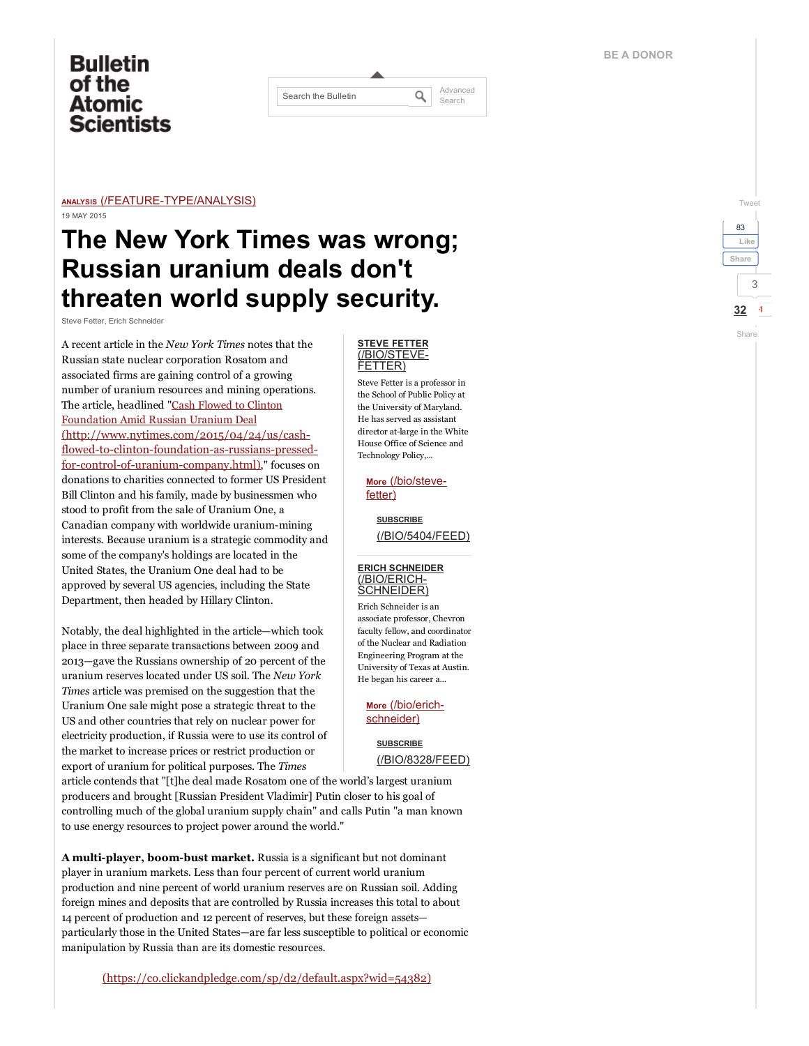# **Bulletin** of the **Atomic Scientists**

| Search the Bulletin | Advanced<br>Search |
|---------------------|--------------------|
|                     |                    |

#### ANALYSIS (/FEATURE-TYPE/ANALYSIS) 19 MAY 2015

# The New York Times was wrong; Russian uranium deals don't threaten world supply security.

Steve Fetter, Erich Schneider

A recent article in the New York Times notes that the Russian state nuclear corporation Rosatom and associated firms are gaining control of a growing number of uranium resources and mining operations. The article, headlined "Cash Flowed to Clinton Foundation Amid Russian Uranium Deal (http://www.nytimes.com/2015/04/24/us/cashflowed-to-clinton-foundation-as-russians-pressedfor-control-of-uranium-company.html)," focuses on donations to charities connected to former US President Bill Clinton and his family, made by businessmen who stood to profit from the sale of Uranium One, a Canadian company with worldwide uranium-mining interests. Because uranium is a strategic commodity and some of the company's holdings are located in the United States, the Uranium One deal had to be approved by several US agencies, including the State Department, then headed by Hillary Clinton.

Notably, the deal highlighted in the article—which took place in three separate transactions between 2009 and 2013—gave the Russians ownership of 20 percent of the uranium reserves located under US soil. The New York Times article was premised on the suggestion that the Uranium One sale might pose a strategic threat to the US and other countries that rely on nuclear power for electricity production, if Russia were to use its control of the market to increase prices or restrict production or export of uranium for political purposes. The Times

article contends that "[t]he deal made Rosatom one of the world's largest uranium producers and brought [Russian President Vladimir] Putin closer to his goal of controlling much of the global uranium supply chain" and calls Putin "a man known to use energy resources to project power around the world."

A multi-player, boom-bust market. Russia is a significant but not dominant player in uranium markets. Less than four percent of current world uranium production and nine percent of world uranium reserves are on Russian soil. Adding foreign mines and deposits that are controlled by Russia increases this total to about 14 percent of production and 12 percent of reserves, but these foreign assets particularly those in the United States—are far less susceptible to political or economic manipulation by Russia than are its domestic resources.

#### STEVE FETTER [\(/BIO/STEVE-](http://thebulletin.org/bio/steve-fetter)FETTER)

Steve Fetter is a professor in the School of Public Policy at the University of Maryland. He has served as assistant director at-large in the White House Office of Science and Technology Policy,...

More [\(/bio/steve](http://thebulletin.org/bio/steve-fetter)fetter)

## SUBSCRIBE [\(/BIO/5404/FEED\)](http://thebulletin.org/bio/5404/feed)

### ERICH SCHNEIDER (/BIO/ERICH-[SCHNEIDER\)](http://thebulletin.org/bio/erich-schneider)

Erich Schneider is an associate professor, Chevron faculty fellow, and coordinator of the Nuclear and Radiation Engineering Program at the University of Texas at Austin. He began his career a...

More [\(/bio/erich](http://thebulletin.org/bio/erich-schneider)schneider)

## **SUBSCRIBE** [\(/BIO/8328/FEED\)](http://thebulletin.org/bio/8328/feed)

## [Tweet](https://twitter.com/intent/tweet?original_referer=http%3A%2F%2Fthebulletin.org%2Fnew-york-times-was-wrong-russian-uranium-deals-dont-threaten-world-supply-security8329&ref_src=twsrc%5Etfw&text=The%20New%20York%20Times%20was%20wrong%3B%20Russian%20uranium%20deals%20don%27t%20threaten%20world%20supply%20security.&tw_p=tweetbutton&url=http%3A%2F%2Fthebulletin.org%2Fnew-york-times-was-wrong-russian-uranium-deals-dont-threaten-world-supply-security8329%23.V_4vpUgwdfs.twitter) 3  $32 - 1$ Share 83 Like [Share](https://www.facebook.com/sharer/sharer.php?u=http%3A%2F%2Fthebulletin.org%2Fnew-york-times-was-wrong-russian-uranium-deals-dont-threaten-world-supply-security8329&display=popup&ref=plugin&src=like&app_id=172525162793917)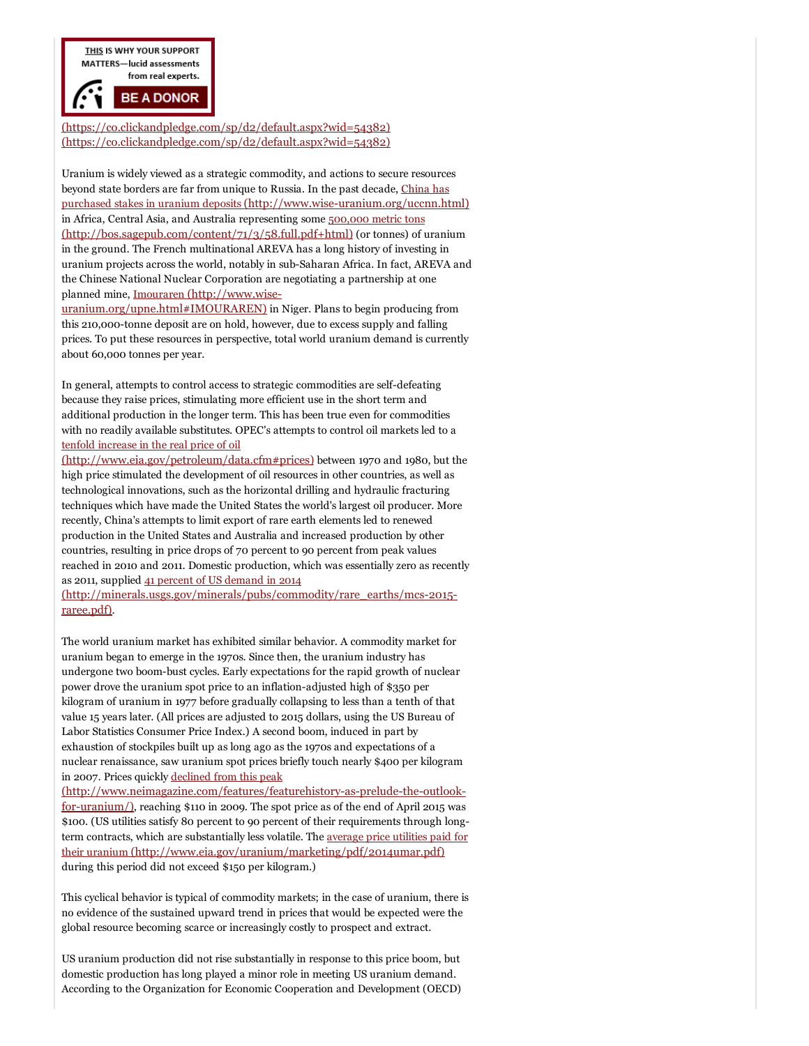THIS IS WHY YOUR SUPPORT **MATTERS-lucid assessments** from real experts.

**BE A DONOR** 

[\(https://co.clickandpledge.com/sp/d2/default.aspx?wid=54382\)](https://co.clickandpledge.com/sp/d2/default.aspx?wid=54382) [\(https://co.clickandpledge.com/sp/d2/default.aspx?wid=54382\)](https://co.clickandpledge.com/sp/d2/default.aspx?wid=54382)

Uranium is widely viewed as a strategic commodity, and actions to secure resources beyond state borders are far from unique to Russia. In the past decade, China has purchased stakes in uranium deposits (http://www.wise-uranium.org/uccnn.html) in Africa, Central Asia, and Australia representing some 500,000 metric tons [\(http://bos.sagepub.com/content/71/3/58.full.pdf+html\)](http://bos.sagepub.com/content/71/3/58.full.pdf+html) (or tonnes) of uranium in the ground. The French multinational AREVA has a long history of investing in uranium projects across the world, notably in subSaharan Africa. In fact, AREVA and the Chinese National Nuclear Corporation are negotiating a partnership at one planned mine, Imouraren (http://www.wise-

[uranium.org/upne.html#IMOURAREN\)](http://www.wise-uranium.org/upne.html#IMOURAREN) in Niger. Plans to begin producing from this 210,000-tonne deposit are on hold, however, due to excess supply and falling prices. To put these resources in perspective, total world uranium demand is currently about 60,000 tonnes per year.

In general, attempts to control access to strategic commodities are self-defeating because they raise prices, stimulating more efficient use in the short term and additional production in the longer term. This has been true even for commodities with no readily available substitutes. OPEC's attempts to control oil markets led to a tenfold increase in the real price of oil

[\(http://www.eia.gov/petroleum/data.cfm#prices\)](http://www.eia.gov/petroleum/data.cfm#prices) between 1970 and 1980, but the high price stimulated the development of oil resources in other countries, as well as technological innovations, such as the horizontal drilling and hydraulic fracturing techniques which have made the United States the world's largest oil producer. More recently, China's attempts to limit export of rare earth elements led to renewed production in the United States and Australia and increased production by other countries, resulting in price drops of 70 percent to 90 percent from peak values reached in 2010 and 2011. Domestic production, which was essentially zero as recently as 2011, supplied 41 percent of US demand in 2014

(http://minerals.usgs.gov/minerals/pubs/commodity/rare\_earths/mcs-2015raree.pdf).

The world uranium market has exhibited similar behavior. A commodity market for uranium began to emerge in the 1970s. Since then, the uranium industry has undergone two boom-bust cycles. Early expectations for the rapid growth of nuclear power drove the uranium spot price to an inflation-adjusted high of \$350 per kilogram of uranium in 1977 before gradually collapsing to less than a tenth of that value 15 years later. (All prices are adjusted to 2015 dollars, using the US Bureau of Labor Statistics Consumer Price Index.) A second boom, induced in part by exhaustion of stockpiles built up as long ago as the 1970s and expectations of a nuclear renaissance, saw uranium spot prices briefly touch nearly \$400 per kilogram in 2007. Prices quickly declined from this peak

(http://www.neimagazine.com/features/featurehistory-as-prelude-the-outlookfor-uranium/), reaching \$110 in 2009. The spot price as of the end of April 2015 was \$100. (US utilities satisfy 80 percent to 90 percent of their requirements through longterm contracts, which are substantially less volatile. The average price utilities paid for their uranium [\(http://www.eia.gov/uranium/marketing/pdf/2014umar.pdf\)](http://www.eia.gov/uranium/marketing/pdf/2014umar.pdf) during this period did not exceed \$150 per kilogram.)

This cyclical behavior is typical of commodity markets; in the case of uranium, there is no evidence of the sustained upward trend in prices that would be expected were the global resource becoming scarce or increasingly costly to prospect and extract.

US uranium production did not rise substantially in response to this price boom, but domestic production has long played a minor role in meeting US uranium demand. According to the Organization for Economic Cooperation and Development (OECD)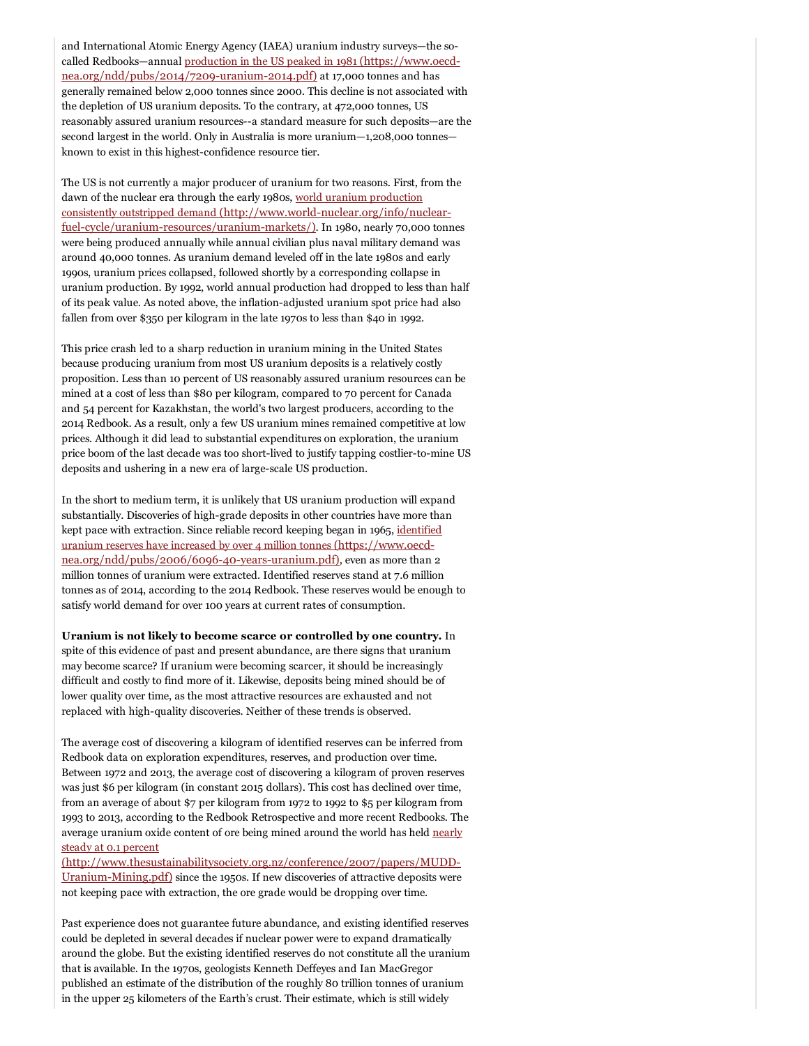and International Atomic Energy Agency (IAEA) uranium industry surveys—the socalled Redbooks—annual production in the US peaked in 1981 (https://www.oecd $nea.org/ndd/pubs/2014/7209-uranium-2014.pdf$  at 17,000 tonnes and has generally remained below 2,000 tonnes since 2000. This decline is not associated with the depletion of US uranium deposits. To the contrary, at 472,000 tonnes, US reasonably assured uranium resources--a standard measure for such deposits—are the second largest in the world. Only in Australia is more uranium—1,208,000 tonnes known to exist in this highest-confidence resource tier.

The US is not currently a major producer of uranium for two reasons. First, from the dawn of the nuclear era through the early 1980s, world uranium production consistently outstripped demand (http://www.world-nuclear.org/info/nuclearfuel-cycle/uranium-resources/uranium-markets/). In 1980, nearly 70,000 tonnes were being produced annually while annual civilian plus naval military demand was around 40,000 tonnes. As uranium demand leveled off in the late 1980s and early 1990s, uranium prices collapsed, followed shortly by a corresponding collapse in uranium production. By 1992, world annual production had dropped to less than half of its peak value. As noted above, the inflation-adjusted uranium spot price had also fallen from over \$350 per kilogram in the late 1970s to less than \$40 in 1992.

This price crash led to a sharp reduction in uranium mining in the United States because producing uranium from most US uranium deposits is a relatively costly proposition. Less than 10 percent of US reasonably assured uranium resources can be mined at a cost of less than \$80 per kilogram, compared to 70 percent for Canada and 54 percent for Kazakhstan, the world's two largest producers, according to the 2014 Redbook. As a result, only a few US uranium mines remained competitive at low prices. Although it did lead to substantial expenditures on exploration, the uranium price boom of the last decade was too short-lived to justify tapping costlier-to-mine US deposits and ushering in a new era of large-scale US production.

In the short to medium term, it is unlikely that US uranium production will expand substantially. Discoveries of high-grade deposits in other countries have more than kept pace with extraction. Since reliable record keeping began in 1965, identified uranium reserves have increased by over 4 million tonnes (https://www.oecdnea.org/ndd/pubs/2006/6096-40-years-uranium.pdf), even as more than 2 million tonnes of uranium were extracted. Identified reserves stand at 7.6 million tonnes as of 2014, according to the 2014 Redbook. These reserves would be enough to satisfy world demand for over 100 years at current rates of consumption.

Uranium is not likely to become scarce or controlled by one country. In spite of this evidence of past and present abundance, are there signs that uranium may become scarce? If uranium were becoming scarcer, it should be increasingly difficult and costly to find more of it. Likewise, deposits being mined should be of lower quality over time, as the most attractive resources are exhausted and not replaced with high-quality discoveries. Neither of these trends is observed.

The average cost of discovering a kilogram of identified reserves can be inferred from Redbook data on exploration expenditures, reserves, and production over time. Between 1972 and 2013, the average cost of discovering a kilogram of proven reserves was just \$6 per kilogram (in constant 2015 dollars). This cost has declined over time, from an average of about \$7 per kilogram from 1972 to 1992 to \$5 per kilogram from 1993 to 2013, according to the Redbook Retrospective and more recent Redbooks. The average uranium oxide content of ore being mined around the world has held nearly steady at 0.1 percent

[\(http://www.thesustainabilitysociety.org.nz/conference/2007/papers/MUDD-](http://www.thesustainabilitysociety.org.nz/conference/2007/papers/MUDD-Uranium-Mining.pdf)Uranium-Mining.pdf) since the 1950s. If new discoveries of attractive deposits were not keeping pace with extraction, the ore grade would be dropping over time.

Past experience does not guarantee future abundance, and existing identified reserves could be depleted in several decades if nuclear power were to expand dramatically around the globe. But the existing identified reserves do not constitute all the uranium that is available. In the 1970s, geologists Kenneth Deffeyes and Ian MacGregor published an estimate of the distribution of the roughly 80 trillion tonnes of uranium in the upper 25 kilometers of the Earth's crust. Their estimate, which is still widely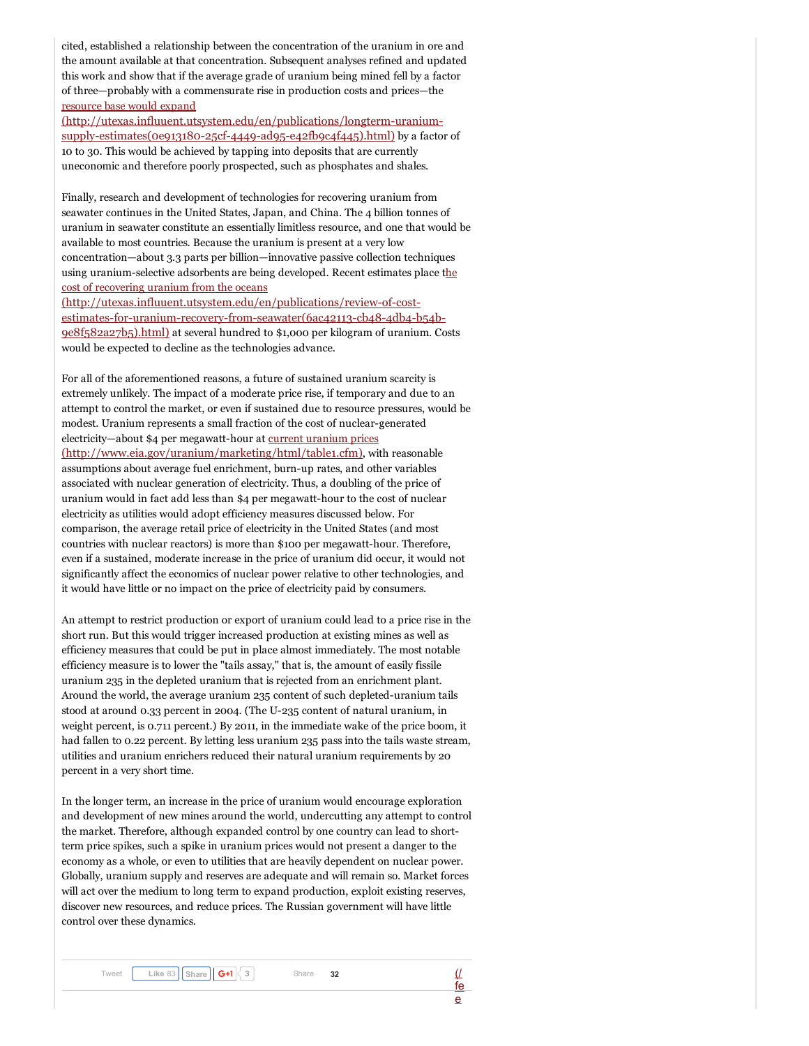cited, established a relationship between the concentration of the uranium in ore and the amount available at that concentration. Subsequent analyses refined and updated this work and show that if the average grade of uranium being mined fell by a factor of three—probably with a commensurate rise in production costs and prices—the resource base would expand

(http://utexas.influuent.utsystem.edu/en/publications/longterm-uraniumsupply-estimates( $0e913180-25cf-4449-ad95-e42fb9c4f445$ ).html) by a factor of 10 to 30. This would be achieved by tapping into deposits that are currently uneconomic and therefore poorly prospected, such as phosphates and shales.

Finally, research and development of technologies for recovering uranium from seawater continues in the United States, Japan, and China. The 4 billion tonnes of uranium in seawater constitute an essentially limitless resource, and one that would be available to most countries. Because the uranium is present at a very low concentration—about 3.3 parts per billion—innovative passive collection techniques using uranium-selective adsorbents are being developed. Recent estimates place the cost of recovering uranium from the oceans

(http://utexas.influuent.utsystem.edu/en/publications/review-of-costestimates-for-uranium-recovery-from-seawater(6ac42113-cb48-4db4-b54b-9e8f582a27b5).html) at several hundred to \$1,000 per kilogram of uranium. Costs would be expected to decline as the technologies advance.

For all of the aforementioned reasons, a future of sustained uranium scarcity is extremely unlikely. The impact of a moderate price rise, if temporary and due to an attempt to control the market, or even if sustained due to resource pressures, would be modest. Uranium represents a small fraction of the cost of nuclear-generated electricity—about \$4 per megawatt-hour at current uranium prices [\(http://www.eia.gov/uranium/marketing/html/table1.cfm\)](http://www.eia.gov/uranium/marketing/html/table1.cfm), with reasonable assumptions about average fuel enrichment, burn-up rates, and other variables associated with nuclear generation of electricity. Thus, a doubling of the price of uranium would in fact add less than \$4 per megawatt-hour to the cost of nuclear electricity as utilities would adopt efficiency measures discussed below. For comparison, the average retail price of electricity in the United States (and most countries with nuclear reactors) is more than \$100 per megawatt-hour. Therefore, even if a sustained, moderate increase in the price of uranium did occur, it would not significantly affect the economics of nuclear power relative to other technologies, and it would have little or no impact on the price of electricity paid by consumers.

An attempt to restrict production or export of uranium could lead to a price rise in the short run. But this would trigger increased production at existing mines as well as efficiency measures that could be put in place almost immediately. The most notable efficiency measure is to lower the "tails assay," that is, the amount of easily fissile uranium 235 in the depleted uranium that is rejected from an enrichment plant. Around the world, the average uranium 235 content of such depleted-uranium tails stood at around 0.33 percent in 2004. (The U-235 content of natural uranium, in weight percent, is 0.711 percent.) By 2011, in the immediate wake of the price boom, it had fallen to 0.22 percent. By letting less uranium 235 pass into the tails waste stream, utilities and uranium enrichers reduced their natural uranium requirements by 20 percent in a very short time.

In the longer term, an increase in the price of uranium would encourage exploration and development of new mines around the world, undercutting any attempt to control the market. Therefore, although expanded control by one country can lead to shortterm price spikes, such a spike in uranium prices would not present a danger to the economy as a whole, or even to utilities that are heavily dependent on nuclear power. Globally, uranium supply and reserves are adequate and will remain so. Market forces will act over the medium to long term to expand production, exploit existing reserves, discover new resources, and reduce prices. The Russian government will have little control over these dynamics.